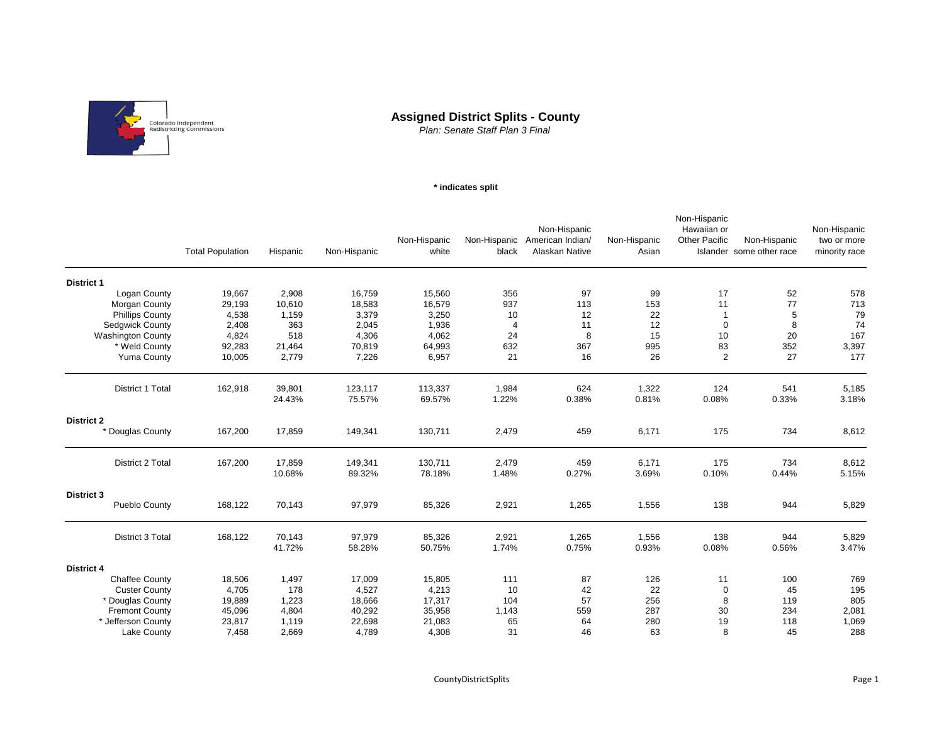

## **Assigned District Splits - County**

*Plan: Senate Staff Plan 3 Final*

## **\* indicates split**

|                          | <b>Total Population</b> | Hispanic         | Non-Hispanic      | Non-Hispanic<br>white | black          | Non-Hispanic<br>Non-Hispanic American Indian/<br>Alaskan Native | Non-Hispanic<br>Asian | Non-Hispanic<br>Hawaiian or<br><b>Other Pacific</b> | Non-Hispanic<br>Islander some other race | Non-Hispanic<br>two or more<br>minority race |
|--------------------------|-------------------------|------------------|-------------------|-----------------------|----------------|-----------------------------------------------------------------|-----------------------|-----------------------------------------------------|------------------------------------------|----------------------------------------------|
| <b>District 1</b>        |                         |                  |                   |                       |                |                                                                 |                       |                                                     |                                          |                                              |
| Logan County             | 19,667                  | 2,908            | 16,759            | 15,560                | 356            | 97                                                              | 99                    | 17                                                  | 52                                       | 578                                          |
| Morgan County            | 29,193                  | 10,610           | 18,583            | 16,579                | 937            | 113                                                             | 153                   | 11                                                  | 77                                       | 713                                          |
| <b>Phillips County</b>   | 4,538                   | 1,159            | 3,379             | 3,250                 | 10             | 12                                                              | 22                    | $\mathbf{1}$                                        | 5                                        | 79                                           |
| <b>Sedgwick County</b>   | 2,408                   | 363              | 2,045             | 1,936                 | $\overline{4}$ | 11                                                              | 12                    | $\mathbf 0$                                         | 8                                        | 74                                           |
| <b>Washington County</b> | 4,824                   | 518              | 4,306             | 4,062                 | 24             | 8                                                               | 15                    | 10                                                  | 20                                       | 167                                          |
| * Weld County            | 92,283                  | 21,464           | 70,819            | 64,993                | 632            | 367                                                             | 995                   | 83                                                  | 352                                      | 3,397                                        |
| <b>Yuma County</b>       | 10,005                  | 2,779            | 7,226             | 6,957                 | 21             | 16                                                              | 26                    | $\overline{2}$                                      | 27                                       | 177                                          |
| District 1 Total         | 162,918                 | 39,801<br>24.43% | 123,117<br>75.57% | 113,337<br>69.57%     | 1,984<br>1.22% | 624<br>0.38%                                                    | 1,322<br>0.81%        | 124<br>0.08%                                        | 541<br>0.33%                             | 5,185<br>3.18%                               |
| <b>District 2</b>        |                         |                  |                   |                       |                |                                                                 |                       |                                                     |                                          |                                              |
| * Douglas County         | 167,200                 | 17,859           | 149,341           | 130,711               | 2,479          | 459                                                             | 6,171                 | 175                                                 | 734                                      | 8,612                                        |
| District 2 Total         | 167,200                 | 17,859<br>10.68% | 149,341<br>89.32% | 130,711<br>78.18%     | 2,479<br>1.48% | 459<br>0.27%                                                    | 6,171<br>3.69%        | 175<br>0.10%                                        | 734<br>0.44%                             | 8,612<br>5.15%                               |
| District 3               |                         |                  |                   |                       |                |                                                                 |                       |                                                     |                                          |                                              |
| Pueblo County            | 168,122                 | 70,143           | 97,979            | 85,326                | 2,921          | 1,265                                                           | 1,556                 | 138                                                 | 944                                      | 5,829                                        |
| District 3 Total         | 168,122                 | 70,143<br>41.72% | 97,979<br>58.28%  | 85,326<br>50.75%      | 2,921<br>1.74% | 1,265<br>0.75%                                                  | 1,556<br>0.93%        | 138<br>0.08%                                        | 944<br>0.56%                             | 5,829<br>3.47%                               |
| <b>District 4</b>        |                         |                  |                   |                       |                |                                                                 |                       |                                                     |                                          |                                              |
| <b>Chaffee County</b>    | 18,506                  | 1,497            | 17,009            | 15,805                | 111            | 87                                                              | 126                   | 11                                                  | 100                                      | 769                                          |
| <b>Custer County</b>     | 4,705                   | 178              | 4,527             | 4,213                 | 10             | 42                                                              | 22                    | 0                                                   | 45                                       | 195                                          |
| * Douglas County         | 19,889                  | 1,223            | 18,666            | 17,317                | 104            | 57                                                              | 256                   | 8                                                   | 119                                      | 805                                          |
| <b>Fremont County</b>    | 45,096                  | 4,804            | 40,292            | 35,958                | 1,143          | 559                                                             | 287                   | 30                                                  | 234                                      | 2,081                                        |
| * Jefferson County       | 23,817                  | 1,119            | 22,698            | 21,083                | 65             | 64                                                              | 280                   | 19                                                  | 118                                      | 1,069                                        |
| <b>Lake County</b>       | 7,458                   | 2,669            | 4,789             | 4,308                 | 31             | 46                                                              | 63                    | 8                                                   | 45                                       | 288                                          |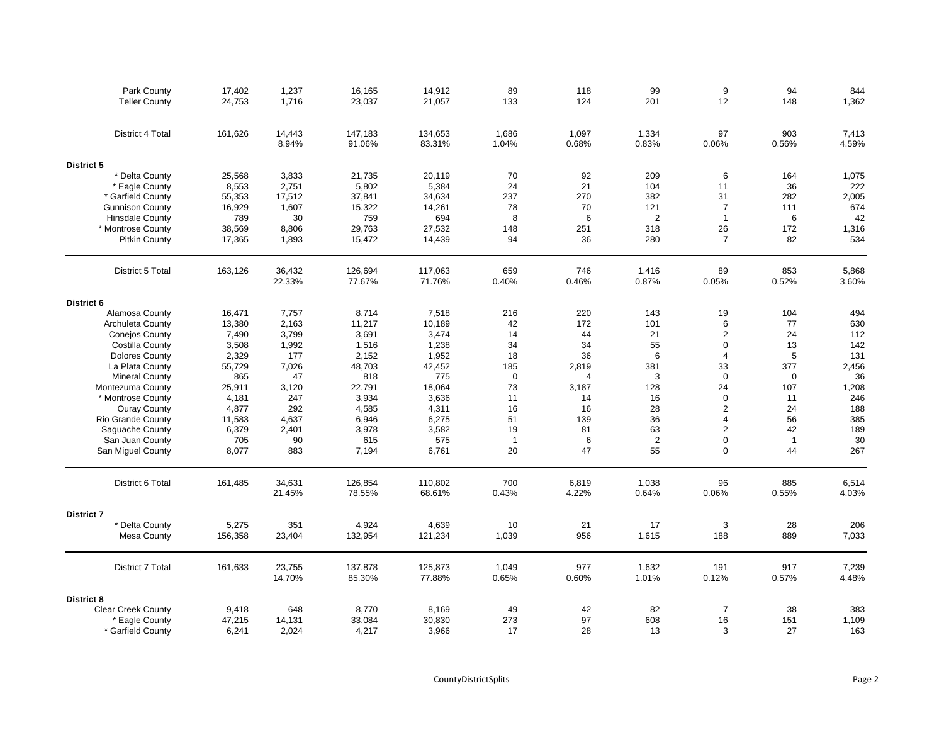| Park County               | 17,402  | 1,237           | 16,165            | 14,912            | 89             | 118            | 99              | 9              | 94             | 844            |
|---------------------------|---------|-----------------|-------------------|-------------------|----------------|----------------|-----------------|----------------|----------------|----------------|
| <b>Teller County</b>      | 24,753  | 1,716           | 23,037            | 21,057            | 133            | 124            | 201             | 12             | 148            | 1,362          |
| District 4 Total          | 161,626 | 14,443<br>8.94% | 147,183<br>91.06% | 134,653<br>83.31% | 1,686<br>1.04% | 1,097<br>0.68% | 1,334<br>0.83%  | 97<br>0.06%    | 903<br>0.56%   | 7,413<br>4.59% |
| District 5                |         |                 |                   |                   |                |                |                 |                |                |                |
| * Delta County            | 25,568  | 3,833           | 21,735            | 20,119            | 70             | 92             | 209             | 6              | 164            | 1,075          |
| * Eagle County            | 8,553   | 2,751           | 5,802             | 5,384             | 24             | 21             | 104             | 11             | 36             | 222            |
| * Garfield County         | 55,353  | 17,512          | 37,841            | 34,634            | 237            | 270            | 382             | 31             | 282            | 2,005          |
| <b>Gunnison County</b>    | 16,929  | 1,607           | 15,322            | 14,261            | 78             | 70             | 121             | $\overline{7}$ | 111            | 674            |
| <b>Hinsdale County</b>    | 789     | 30              | 759               | 694               | 8              | 6              | $\overline{2}$  | $\mathbf{1}$   | 6              | 42             |
| * Montrose County         | 38,569  | 8,806           | 29,763            | 27,532            | 148            | 251            | 318             | 26             | 172            | 1,316          |
| <b>Pitkin County</b>      | 17,365  | 1,893           | 15,472            | 14,439            | 94             | 36             | 280             | $\overline{7}$ | 82             | 534            |
| District 5 Total          | 163,126 | 36,432          | 126,694           | 117,063           | 659            | 746            | 1,416           | 89             | 853            | 5,868          |
|                           |         | 22.33%          | 77.67%            | 71.76%            | 0.40%          | 0.46%          | 0.87%           | 0.05%          | 0.52%          | 3.60%          |
| District 6                |         |                 |                   |                   |                |                |                 |                |                |                |
| Alamosa County            | 16,471  | 7,757           | 8,714             | 7,518             | 216            | 220            | 143             | 19             | 104            | 494            |
| <b>Archuleta County</b>   | 13,380  | 2,163           | 11,217            | 10,189            | 42             | 172            | 101             | 6              | 77             | 630            |
| <b>Conejos County</b>     | 7,490   | 3,799           | 3,691             | 3,474             | 14             | 44             | 21              | $\overline{2}$ | 24             | 112            |
| Costilla County           | 3,508   | 1,992           | 1,516             | 1,238             | 34             | 34             | 55              | $\mathbf 0$    | 13             | 142            |
| <b>Dolores County</b>     | 2,329   | 177             | 2,152             | 1,952             | 18             | 36             | $6\phantom{1}6$ | $\overline{4}$ | 5              | 131            |
| La Plata County           | 55,729  | 7,026           | 48,703            | 42,452            | 185            | 2,819          | 381             | 33             | 377            | 2,456          |
| <b>Mineral County</b>     | 865     | 47              | 818               | 775               | $\mathbf 0$    | $\overline{4}$ | 3               | $\mathbf 0$    | $\mathbf 0$    | 36             |
| Montezuma County          | 25,911  | 3,120           | 22,791            | 18,064            | 73             | 3,187          | 128             | 24             | 107            | 1,208          |
| * Montrose County         | 4,181   | 247             | 3,934             | 3,636             | 11             | 14             | 16              | $\mathbf 0$    | 11             | 246            |
| <b>Ouray County</b>       | 4,877   | 292             | 4,585             | 4,311             | 16             | 16             | 28              | 2              | 24             | 188            |
| Rio Grande County         | 11,583  | 4,637           | 6,946             | 6,275             | 51             | 139            | 36              | $\overline{4}$ | 56             | 385            |
| Saquache County           | 6,379   | 2,401           | 3,978             | 3,582             | 19             | 81             | 63              | $\overline{2}$ | 42             | 189            |
| San Juan County           | 705     | 90              | 615               | 575               | 1              | 6              | $\overline{2}$  | $\mathbf 0$    | $\overline{1}$ | 30             |
| San Miguel County         | 8,077   | 883             | 7,194             | 6,761             | 20             | 47             | 55              | $\mathbf 0$    | 44             | 267            |
| District 6 Total          | 161,485 | 34,631          | 126,854           | 110,802           | 700            | 6,819          | 1,038           | 96             | 885            | 6,514          |
|                           |         | 21.45%          | 78.55%            | 68.61%            | 0.43%          | 4.22%          | 0.64%           | 0.06%          | 0.55%          | 4.03%          |
| <b>District 7</b>         |         |                 |                   |                   |                |                |                 |                |                |                |
| * Delta County            | 5,275   | 351             | 4,924             | 4,639             | 10             | 21             | 17              | 3              | 28             | 206            |
| <b>Mesa County</b>        | 156,358 | 23,404          | 132,954           | 121,234           | 1,039          | 956            | 1,615           | 188            | 889            | 7,033          |
| District 7 Total          | 161,633 | 23,755          | 137,878           | 125,873           | 1,049          | 977            | 1,632           | 191            | 917            | 7,239          |
|                           |         | 14.70%          | 85.30%            | 77.88%            | 0.65%          | 0.60%          | 1.01%           | 0.12%          | 0.57%          | 4.48%          |
| <b>District 8</b>         |         |                 |                   |                   |                |                |                 |                |                |                |
| <b>Clear Creek County</b> | 9,418   | 648             | 8,770             | 8,169             | 49             | 42             | 82              | $\overline{7}$ | 38             | 383            |
| * Eagle County            | 47,215  | 14,131          | 33,084            | 30,830            | 273            | 97             | 608             | 16             | 151            | 1,109          |
| * Garfield County         | 6,241   | 2,024           | 4,217             | 3,966             | 17             | 28             | 13              | 3              | 27             | 163            |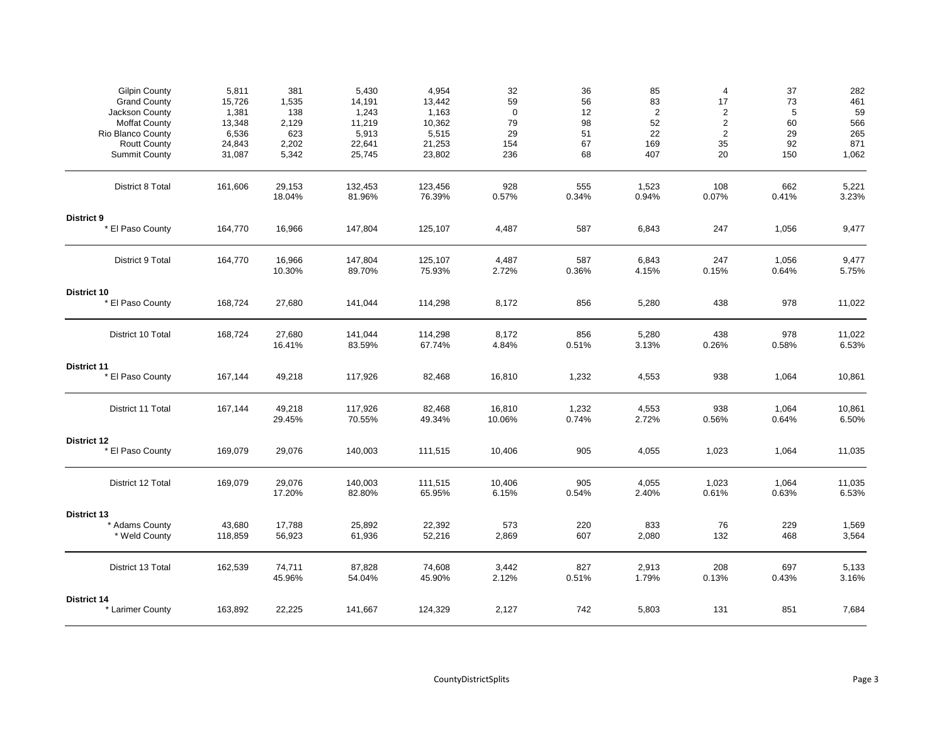| <b>Gilpin County</b><br><b>Grand County</b><br>Jackson County                            | 5,811<br>15,726<br>1,381            | 381<br>1,535<br>138            | 5,430<br>14,191<br>1,243            | 4,954<br>13,442<br>1,163            | 32<br>59<br>0          | 36<br>56<br>12       | 85<br>83<br>$\overline{2}$ | 4<br>17<br>$\overline{2}$                    | 37<br>73<br>5         | 282<br>461<br>59           |
|------------------------------------------------------------------------------------------|-------------------------------------|--------------------------------|-------------------------------------|-------------------------------------|------------------------|----------------------|----------------------------|----------------------------------------------|-----------------------|----------------------------|
| <b>Moffat County</b><br>Rio Blanco County<br><b>Routt County</b><br><b>Summit County</b> | 13,348<br>6,536<br>24,843<br>31,087 | 2,129<br>623<br>2,202<br>5,342 | 11,219<br>5,913<br>22,641<br>25,745 | 10,362<br>5,515<br>21,253<br>23,802 | 79<br>29<br>154<br>236 | 98<br>51<br>67<br>68 | 52<br>22<br>169<br>407     | $\overline{c}$<br>$\overline{2}$<br>35<br>20 | 60<br>29<br>92<br>150 | 566<br>265<br>871<br>1,062 |
| District 8 Total                                                                         | 161,606                             | 29,153<br>18.04%               | 132,453<br>81.96%                   | 123,456<br>76.39%                   | 928<br>0.57%           | 555<br>0.34%         | 1,523<br>0.94%             | 108<br>0.07%                                 | 662<br>0.41%          | 5,221<br>3.23%             |
| District 9<br>* El Paso County                                                           | 164,770                             | 16,966                         | 147,804                             | 125,107                             | 4,487                  | 587                  | 6,843                      | 247                                          | 1,056                 | 9,477                      |
| District 9 Total                                                                         | 164,770                             | 16,966<br>10.30%               | 147,804<br>89.70%                   | 125,107<br>75.93%                   | 4,487<br>2.72%         | 587<br>0.36%         | 6,843<br>4.15%             | 247<br>0.15%                                 | 1,056<br>0.64%        | 9,477<br>5.75%             |
| District 10<br>* El Paso County                                                          | 168,724                             | 27,680                         | 141,044                             | 114,298                             | 8,172                  | 856                  | 5,280                      | 438                                          | 978                   | 11,022                     |
| District 10 Total                                                                        | 168,724                             | 27,680<br>16.41%               | 141,044<br>83.59%                   | 114,298<br>67.74%                   | 8,172<br>4.84%         | 856<br>0.51%         | 5,280<br>3.13%             | 438<br>0.26%                                 | 978<br>0.58%          | 11,022<br>6.53%            |
| <b>District 11</b><br>* El Paso County                                                   | 167,144                             | 49,218                         | 117,926                             | 82,468                              | 16,810                 | 1,232                | 4,553                      | 938                                          | 1,064                 | 10,861                     |
| District 11 Total                                                                        | 167,144                             | 49,218<br>29.45%               | 117,926<br>70.55%                   | 82,468<br>49.34%                    | 16,810<br>10.06%       | 1,232<br>0.74%       | 4,553<br>2.72%             | 938<br>0.56%                                 | 1,064<br>0.64%        | 10,861<br>6.50%            |
| District 12<br>* El Paso County                                                          | 169,079                             | 29,076                         | 140,003                             | 111,515                             | 10,406                 | 905                  | 4,055                      | 1,023                                        | 1,064                 | 11,035                     |
| District 12 Total                                                                        | 169,079                             | 29,076<br>17.20%               | 140,003<br>82.80%                   | 111,515<br>65.95%                   | 10,406<br>6.15%        | 905<br>0.54%         | 4,055<br>2.40%             | 1,023<br>0.61%                               | 1,064<br>0.63%        | 11,035<br>6.53%            |
| District 13                                                                              |                                     |                                |                                     |                                     |                        |                      |                            |                                              |                       |                            |
| * Adams County<br>* Weld County                                                          | 43,680<br>118,859                   | 17,788<br>56,923               | 25,892<br>61,936                    | 22,392<br>52,216                    | 573<br>2,869           | 220<br>607           | 833<br>2,080               | 76<br>132                                    | 229<br>468            | 1,569<br>3,564             |
| District 13 Total                                                                        | 162,539                             | 74,711<br>45.96%               | 87,828<br>54.04%                    | 74,608<br>45.90%                    | 3,442<br>2.12%         | 827<br>0.51%         | 2,913<br>1.79%             | 208<br>0.13%                                 | 697<br>0.43%          | 5,133<br>3.16%             |
| District 14<br>* Larimer County                                                          | 163,892                             | 22,225                         | 141,667                             | 124,329                             | 2,127                  | 742                  | 5,803                      | 131                                          | 851                   | 7,684                      |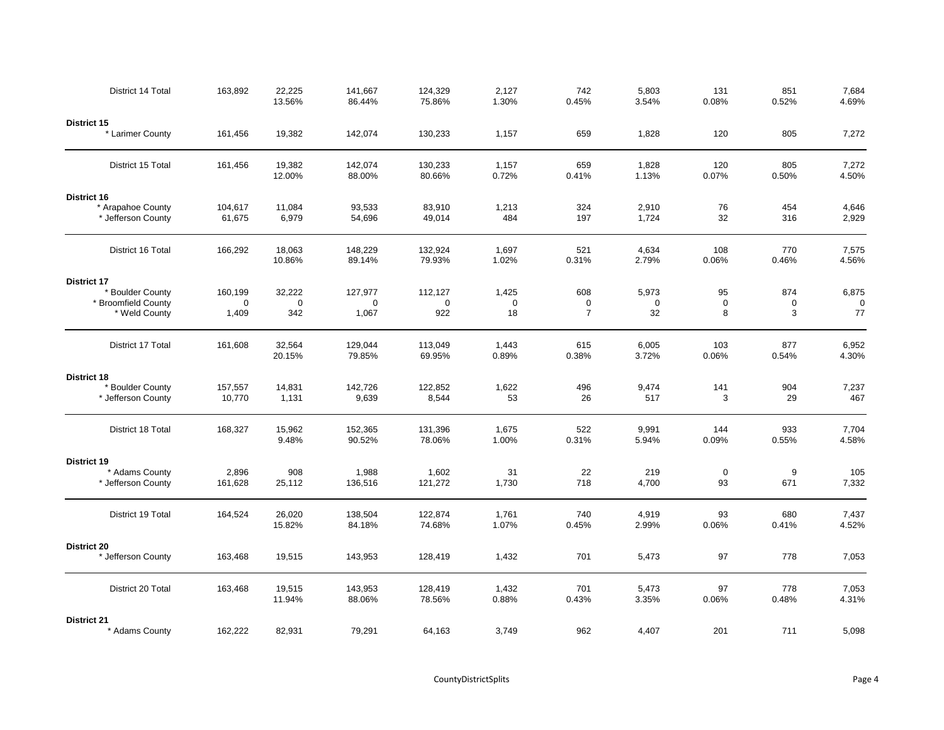| District 14 Total                       | 163,892           | 22,225<br>13.56% | 141,667<br>86.44% | 124,329<br>75.86% | 2,127<br>1.30% | 742<br>0.45%   | 5,803<br>3.54% | 131<br>0.08% | 851<br>0.52% | 7,684<br>4.69% |
|-----------------------------------------|-------------------|------------------|-------------------|-------------------|----------------|----------------|----------------|--------------|--------------|----------------|
| District 15                             |                   |                  |                   |                   |                |                |                |              |              |                |
| * Larimer County                        | 161,456           | 19,382           | 142,074           | 130,233           | 1,157          | 659            | 1,828          | 120          | 805          | 7,272          |
| District 15 Total                       | 161,456           | 19,382<br>12.00% | 142,074<br>88.00% | 130,233<br>80.66% | 1,157<br>0.72% | 659<br>0.41%   | 1,828<br>1.13% | 120<br>0.07% | 805<br>0.50% | 7,272<br>4.50% |
| District 16                             |                   |                  |                   |                   |                |                |                |              |              |                |
| * Arapahoe County<br>* Jefferson County | 104,617<br>61,675 | 11,084<br>6,979  | 93,533<br>54,696  | 83,910<br>49,014  | 1,213<br>484   | 324<br>197     | 2,910<br>1,724 | 76<br>32     | 454<br>316   | 4,646<br>2,929 |
| District 16 Total                       | 166,292           | 18,063<br>10.86% | 148,229<br>89.14% | 132,924<br>79.93% | 1,697<br>1.02% | 521<br>0.31%   | 4,634<br>2.79% | 108<br>0.06% | 770<br>0.46% | 7,575<br>4.56% |
| District 17                             |                   |                  |                   |                   |                |                |                |              |              |                |
| * Boulder County                        | 160,199           | 32,222           | 127,977           | 112,127           | 1,425          | 608            | 5,973          | 95           | 874          | 6,875          |
| * Broomfield County                     | 0                 | 0                | $\mathbf 0$       | $\mathbf 0$       | $\mathbf 0$    | $\mathbf 0$    | $\mathbf 0$    | $\mathbf 0$  | $\mathbf 0$  | $\mathbf 0$    |
| * Weld County                           | 1,409             | 342              | 1,067             | 922               | 18             | $\overline{7}$ | 32             | 8            | 3            | 77             |
| District 17 Total                       | 161,608           | 32,564<br>20.15% | 129,044<br>79.85% | 113,049<br>69.95% | 1,443<br>0.89% | 615<br>0.38%   | 6,005<br>3.72% | 103<br>0.06% | 877<br>0.54% | 6,952<br>4.30% |
| District 18                             |                   |                  |                   |                   |                |                |                |              |              |                |
| * Boulder County<br>* Jefferson County  | 157,557<br>10,770 | 14,831<br>1,131  | 142,726<br>9,639  | 122,852<br>8,544  | 1,622<br>53    | 496<br>26      | 9,474<br>517   | 141<br>3     | 904<br>29    | 7,237<br>467   |
| District 18 Total                       | 168,327           | 15,962<br>9.48%  | 152,365<br>90.52% | 131,396<br>78.06% | 1,675<br>1.00% | 522<br>0.31%   | 9,991<br>5.94% | 144<br>0.09% | 933<br>0.55% | 7,704<br>4.58% |
| District 19                             |                   |                  |                   |                   |                |                |                |              |              |                |
| * Adams County                          | 2,896             | 908              | 1,988             | 1,602             | 31             | 22             | 219            | $\mathbf 0$  | 9            | 105            |
| * Jefferson County                      | 161,628           | 25,112           | 136,516           | 121,272           | 1,730          | 718            | 4,700          | 93           | 671          | 7,332          |
| District 19 Total                       | 164,524           | 26,020<br>15.82% | 138,504<br>84.18% | 122,874<br>74.68% | 1,761<br>1.07% | 740<br>0.45%   | 4,919<br>2.99% | 93<br>0.06%  | 680<br>0.41% | 7,437<br>4.52% |
| District 20                             |                   |                  |                   |                   |                |                |                |              |              |                |
| * Jefferson County                      | 163,468           | 19,515           | 143,953           | 128,419           | 1,432          | 701            | 5,473          | 97           | 778          | 7,053          |
| District 20 Total                       | 163,468           | 19,515<br>11.94% | 143,953<br>88.06% | 128,419<br>78.56% | 1,432<br>0.88% | 701<br>0.43%   | 5,473<br>3.35% | 97<br>0.06%  | 778<br>0.48% | 7,053<br>4.31% |
| <b>District 21</b>                      |                   |                  |                   |                   |                |                |                |              |              |                |
| * Adams County                          | 162,222           | 82,931           | 79,291            | 64,163            | 3,749          | 962            | 4,407          | 201          | 711          | 5,098          |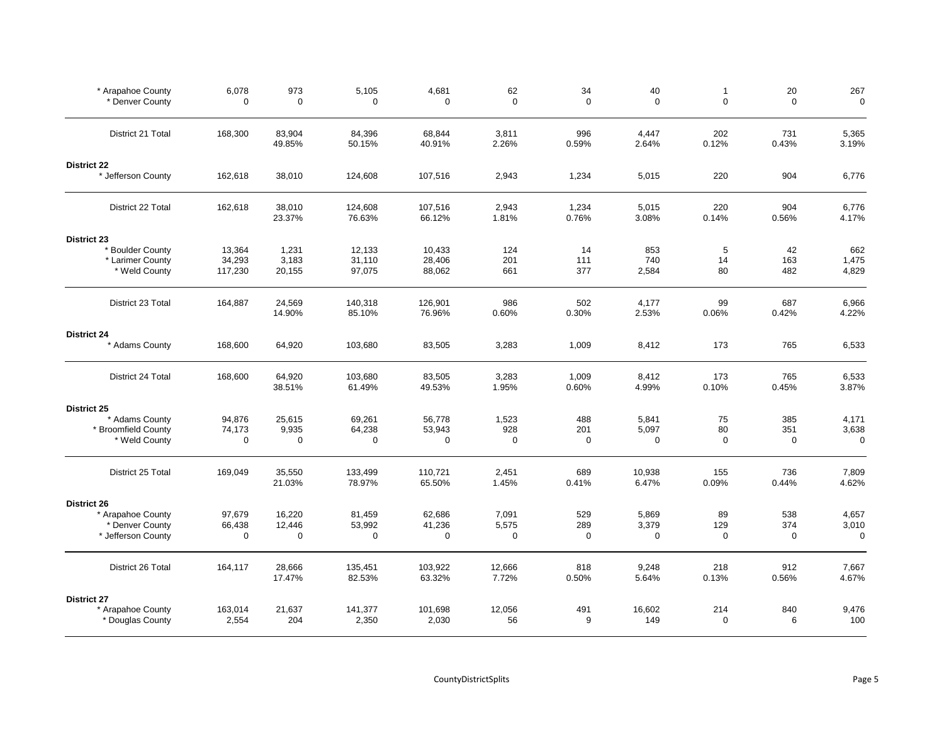| * Arapahoe County<br>* Denver County     | 6,078<br>$\mathbf 0$ | 973<br>$\mathbf 0$ | 5,105<br>$\mathbf 0$ | 4,681<br>$\mathbf 0$ | 62<br>$\mathbf 0$ | 34<br>$\Omega$ | 40<br>$\Omega$  | $\mathbf{1}$<br>$\Omega$ | 20<br>$\Omega$ | 267<br>$\mathbf 0$ |
|------------------------------------------|----------------------|--------------------|----------------------|----------------------|-------------------|----------------|-----------------|--------------------------|----------------|--------------------|
| District 21 Total                        | 168,300              | 83,904<br>49.85%   | 84,396<br>50.15%     | 68,844<br>40.91%     | 3,811<br>2.26%    | 996<br>0.59%   | 4,447<br>2.64%  | 202<br>0.12%             | 731<br>0.43%   | 5,365<br>3.19%     |
| <b>District 22</b><br>* Jefferson County | 162,618              | 38,010             | 124,608              | 107,516              | 2,943             | 1,234          | 5,015           | 220                      | 904            | 6,776              |
| District 22 Total                        | 162,618              | 38,010<br>23.37%   | 124,608<br>76.63%    | 107,516<br>66.12%    | 2,943<br>1.81%    | 1,234<br>0.76% | 5,015<br>3.08%  | 220<br>0.14%             | 904<br>0.56%   | 6,776<br>4.17%     |
| <b>District 23</b>                       |                      |                    |                      |                      |                   |                |                 |                          |                |                    |
| * Boulder County                         | 13,364               | 1,231              | 12,133               | 10,433               | 124               | 14             | 853             | 5                        | 42             | 662                |
| * Larimer County                         | 34,293               | 3,183              | 31,110               | 28,406               | 201               | 111            | 740             | 14                       | 163            | 1,475              |
| * Weld County                            | 117,230              | 20,155             | 97,075               | 88,062               | 661               | 377            | 2,584           | 80                       | 482            | 4,829              |
| District 23 Total                        | 164,887              | 24,569<br>14.90%   | 140,318<br>85.10%    | 126,901<br>76.96%    | 986<br>0.60%      | 502<br>0.30%   | 4,177<br>2.53%  | 99<br>0.06%              | 687<br>0.42%   | 6,966<br>4.22%     |
| <b>District 24</b>                       |                      |                    |                      |                      |                   |                |                 |                          |                |                    |
| * Adams County                           | 168,600              | 64,920             | 103,680              | 83,505               | 3,283             | 1,009          | 8,412           | 173                      | 765            | 6,533              |
| District 24 Total                        | 168,600              | 64,920<br>38.51%   | 103,680<br>61.49%    | 83,505<br>49.53%     | 3,283<br>1.95%    | 1,009<br>0.60% | 8,412<br>4.99%  | 173<br>0.10%             | 765<br>0.45%   | 6,533<br>3.87%     |
| District 25                              |                      |                    |                      |                      |                   |                |                 |                          |                |                    |
| * Adams County                           | 94,876               | 25,615             | 69,261               | 56,778               | 1,523             | 488            | 5,841           | 75                       | 385            | 4,171              |
| * Broomfield County                      | 74,173               | 9,935              | 64,238               | 53,943               | 928               | 201            | 5,097           | 80                       | 351            | 3,638              |
| * Weld County                            | $\mathbf 0$          | $\mathbf 0$        | $\mathbf 0$          | $\mathbf 0$          | 0                 | $\mathbf 0$    | $\mathbf 0$     | $\mathbf 0$              | $\mathbf 0$    | $\mathbf 0$        |
| District 25 Total                        | 169,049              | 35,550<br>21.03%   | 133,499<br>78.97%    | 110,721<br>65.50%    | 2,451<br>1.45%    | 689<br>0.41%   | 10,938<br>6.47% | 155<br>0.09%             | 736<br>0.44%   | 7,809<br>4.62%     |
| District 26                              |                      |                    |                      |                      |                   |                |                 |                          |                |                    |
| * Arapahoe County                        | 97,679               | 16,220             | 81,459               | 62,686               | 7,091             | 529            | 5,869           | 89                       | 538            | 4,657              |
| * Denver County                          | 66,438               | 12,446             | 53,992               | 41,236               | 5,575             | 289            | 3,379           | 129                      | 374            | 3,010              |
| * Jefferson County                       | $\mathbf 0$          | 0                  | 0                    | $\mathbf 0$          | $\mathbf 0$       | $\mathbf 0$    | $\mathbf 0$     | $\mathbf 0$              | $\mathbf 0$    | $\mathbf 0$        |
| District 26 Total                        | 164,117              | 28,666<br>17.47%   | 135,451<br>82.53%    | 103,922<br>63.32%    | 12,666<br>7.72%   | 818<br>0.50%   | 9,248<br>5.64%  | 218<br>0.13%             | 912<br>0.56%   | 7,667<br>4.67%     |
| <b>District 27</b>                       |                      |                    |                      |                      |                   |                |                 |                          |                |                    |
| * Arapahoe County                        | 163,014              | 21,637             | 141,377              | 101,698              | 12,056            | 491            | 16,602          | 214                      | 840            | 9,476              |
| * Douglas County                         | 2,554                | 204                | 2,350                | 2,030                | 56                | 9              | 149             | $\mathbf 0$              | 6              | 100                |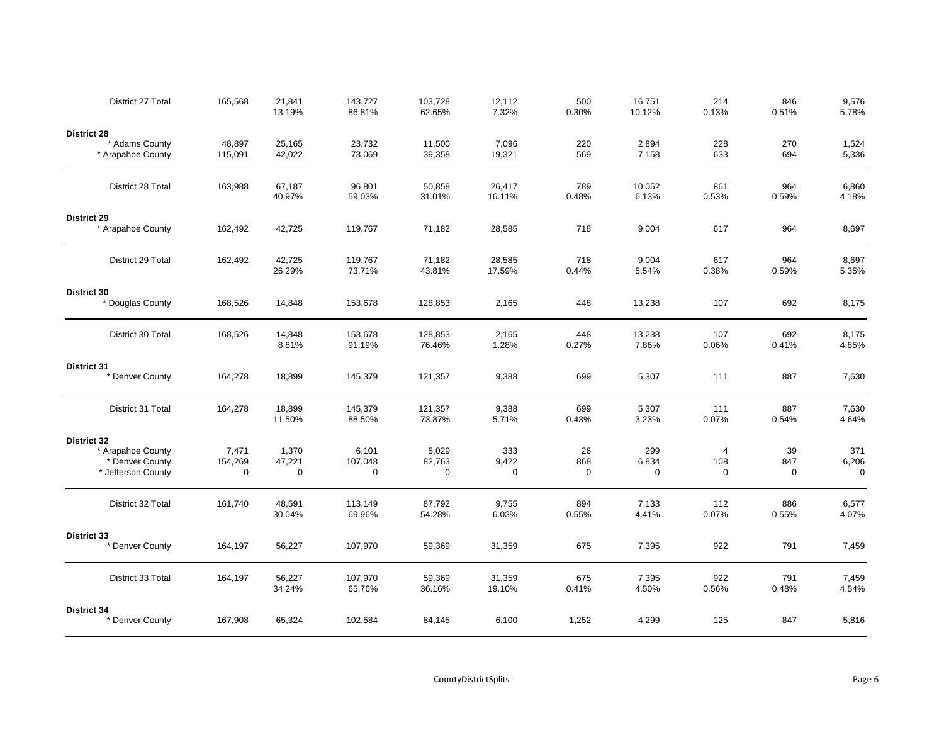| District 27 Total                                         | 165,568           | 21,841<br>13.19%      | 143,727<br>86.81% | 103,728<br>62.65%     | 12,112<br>7.32%      | 500<br>0.30%       | 16,751<br>10.12%     | 214<br>0.13%       | 846<br>0.51%       | 9,576<br>5.78%    |
|-----------------------------------------------------------|-------------------|-----------------------|-------------------|-----------------------|----------------------|--------------------|----------------------|--------------------|--------------------|-------------------|
| <b>District 28</b><br>* Adams County<br>* Arapahoe County | 48,897<br>115,091 | 25,165<br>42,022      | 23,732<br>73,069  | 11,500<br>39,358      | 7,096<br>19,321      | 220<br>569         | 2,894<br>7,158       | 228<br>633         | 270<br>694         | 1,524<br>5,336    |
| District 28 Total                                         | 163,988           | 67,187                | 96,801            | 50,858                | 26,417               | 789                | 10,052               | 861                | 964                | 6,860             |
|                                                           |                   | 40.97%                | 59.03%            | 31.01%                | 16.11%               | 0.48%              | 6.13%                | 0.53%              | 0.59%              | 4.18%             |
| District 29<br>* Arapahoe County                          | 162,492           | 42,725                | 119,767           | 71,182                | 28,585               | 718                | 9,004                | 617                | 964                | 8,697             |
| District 29 Total                                         | 162,492           | 42,725<br>26.29%      | 119,767<br>73.71% | 71,182<br>43.81%      | 28,585<br>17.59%     | 718<br>0.44%       | 9,004<br>5.54%       | 617<br>0.38%       | 964<br>0.59%       | 8,697<br>5.35%    |
| District 30<br>* Douglas County                           | 168,526           | 14,848                | 153,678           | 128,853               | 2,165                | 448                | 13,238               | 107                | 692                | 8,175             |
| District 30 Total                                         | 168,526           | 14,848<br>8.81%       | 153,678<br>91.19% | 128,853<br>76.46%     | 2,165<br>1.28%       | 448<br>0.27%       | 13,238<br>7.86%      | 107<br>0.06%       | 692<br>0.41%       | 8,175<br>4.85%    |
| <b>District 31</b><br>* Denver County                     | 164,278           | 18,899                | 145,379           | 121,357               | 9,388                | 699                | 5,307                | 111                | 887                | 7,630             |
| District 31 Total                                         | 164,278           | 18,899<br>11.50%      | 145,379<br>88.50% | 121,357<br>73.87%     | 9,388<br>5.71%       | 699<br>0.43%       | 5,307<br>3.23%       | 111<br>0.07%       | 887<br>0.54%       | 7,630<br>4.64%    |
| <b>District 32</b>                                        |                   |                       |                   |                       |                      |                    |                      |                    |                    |                   |
| * Arapahoe County                                         | 7,471             | 1,370                 | 6,101             | 5,029                 | 333                  | 26                 | 299                  | 4                  | 39                 | 371               |
| * Denver County<br>* Jefferson County                     | 154,269<br>0      | 47,221<br>$\mathbf 0$ | 107,048<br>0      | 82,763<br>$\mathbf 0$ | 9,422<br>$\mathbf 0$ | 868<br>$\mathbf 0$ | 6,834<br>$\mathbf 0$ | 108<br>$\mathbf 0$ | 847<br>$\mathbf 0$ | 6,206<br>$\Omega$ |
| District 32 Total                                         | 161,740           | 48,591<br>30.04%      | 113,149<br>69.96% | 87,792<br>54.28%      | 9,755<br>6.03%       | 894<br>0.55%       | 7,133<br>4.41%       | 112<br>0.07%       | 886<br>0.55%       | 6,577<br>4.07%    |
| District 33                                               |                   |                       |                   |                       |                      |                    |                      |                    |                    |                   |
| * Denver County                                           | 164,197           | 56,227                | 107,970           | 59,369                | 31,359               | 675                | 7,395                | 922                | 791                | 7,459             |
| District 33 Total                                         | 164,197           | 56,227<br>34.24%      | 107,970<br>65.76% | 59,369<br>36.16%      | 31,359<br>19.10%     | 675<br>0.41%       | 7,395<br>4.50%       | 922<br>0.56%       | 791<br>0.48%       | 7,459<br>4.54%    |
| District 34<br>* Denver County                            | 167,908           | 65,324                | 102,584           | 84,145                | 6,100                | 1,252              | 4,299                | 125                | 847                | 5,816             |